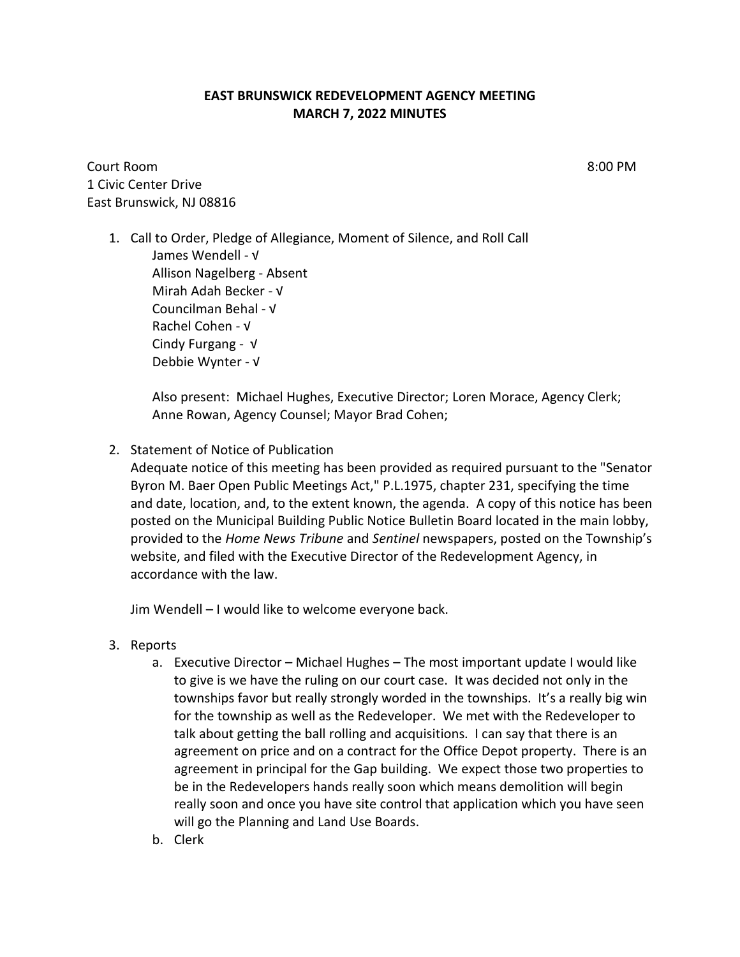## **EAST BRUNSWICK REDEVELOPMENT AGENCY MEETING MARCH 7, 2022 MINUTES**

Court Room 8:00 PM 1 Civic Center Drive East Brunswick, NJ 08816

1. Call to Order, Pledge of Allegiance, Moment of Silence, and Roll Call James Wendell - √ Allison Nagelberg - Absent Mirah Adah Becker - √ Councilman Behal - √ Rachel Cohen - √ Cindy Furgang - √ Debbie Wynter - √

> Also present: Michael Hughes, Executive Director; Loren Morace, Agency Clerk; Anne Rowan, Agency Counsel; Mayor Brad Cohen;

2. Statement of Notice of Publication

Adequate notice of this meeting has been provided as required pursuant to the "Senator Byron M. Baer Open Public Meetings Act," P.L.1975, chapter 231, specifying the time and date, location, and, to the extent known, the agenda. A copy of this notice has been posted on the Municipal Building Public Notice Bulletin Board located in the main lobby, provided to the *Home News Tribune* and *Sentinel* newspapers, posted on the Township's website, and filed with the Executive Director of the Redevelopment Agency, in accordance with the law.

Jim Wendell – I would like to welcome everyone back.

- 3. Reports
	- a. Executive Director Michael Hughes The most important update I would like to give is we have the ruling on our court case. It was decided not only in the townships favor but really strongly worded in the townships. It's a really big win for the township as well as the Redeveloper. We met with the Redeveloper to talk about getting the ball rolling and acquisitions. I can say that there is an agreement on price and on a contract for the Office Depot property. There is an agreement in principal for the Gap building. We expect those two properties to be in the Redevelopers hands really soon which means demolition will begin really soon and once you have site control that application which you have seen will go the Planning and Land Use Boards.
	- b. Clerk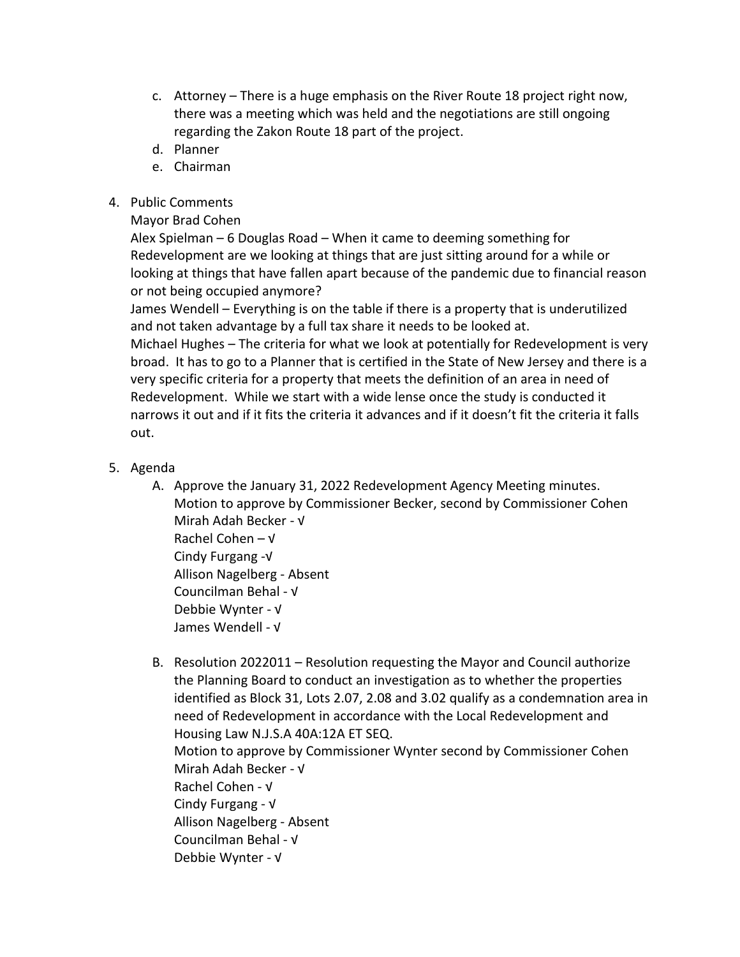- c. Attorney There is a huge emphasis on the River Route 18 project right now, there was a meeting which was held and the negotiations are still ongoing regarding the Zakon Route 18 part of the project.
- d. Planner
- e. Chairman
- 4. Public Comments

## Mayor Brad Cohen

Alex Spielman – 6 Douglas Road – When it came to deeming something for Redevelopment are we looking at things that are just sitting around for a while or looking at things that have fallen apart because of the pandemic due to financial reason or not being occupied anymore?

James Wendell – Everything is on the table if there is a property that is underutilized and not taken advantage by a full tax share it needs to be looked at.

Michael Hughes – The criteria for what we look at potentially for Redevelopment is very broad. It has to go to a Planner that is certified in the State of New Jersey and there is a very specific criteria for a property that meets the definition of an area in need of Redevelopment. While we start with a wide lense once the study is conducted it narrows it out and if it fits the criteria it advances and if it doesn't fit the criteria it falls out.

- 5. Agenda
	- A. Approve the January 31, 2022 Redevelopment Agency Meeting minutes. Motion to approve by Commissioner Becker, second by Commissioner Cohen Mirah Adah Becker - √ Rachel Cohen – √ Cindy Furgang -√ Allison Nagelberg - Absent Councilman Behal - √ Debbie Wynter - √
		- James Wendell √
	- B. Resolution 2022011 Resolution requesting the Mayor and Council authorize the Planning Board to conduct an investigation as to whether the properties identified as Block 31, Lots 2.07, 2.08 and 3.02 qualify as a condemnation area in need of Redevelopment in accordance with the Local Redevelopment and Housing Law N.J.S.A 40A:12A ET SEQ. Motion to approve by Commissioner Wynter second by Commissioner Cohen Mirah Adah Becker - √ Rachel Cohen - √ Cindy Furgang - √ Allison Nagelberg - Absent Councilman Behal - √ Debbie Wynter - √